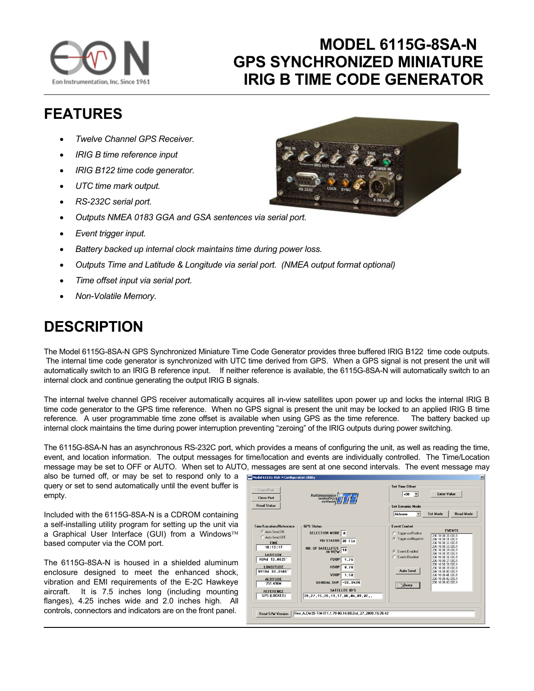

## **MODEL 6115G-8SA-N GPS SYNCHRONIZED MINIATURE IRIG B TIME CODE GENERATOR**

## **FEATURES**

- *Twelve Channel GPS Receiver.*
- *IRIG B time reference input*
- *IRIG B122 time code generator.*
- *UTC time mark output.*
- *RS-232C serial port.*
- *Outputs NMEA 0183 GGA and GSA sentences via serial port.*
- *Event trigger input.*
- *Battery backed up internal clock maintains time during power loss.*
- *Outputs Time and Latitude & Longitude via serial port. (NMEA output format optional)*
- *Time offset input via serial port.*
- *Non-Volatile Memory.*

## **DESCRIPTION**

The Model 6115G-8SA-N GPS Synchronized Miniature Time Code Generator provides three buffered IRIG B122 time code outputs. The internal time code generator is synchronized with UTC time derived from GPS. When a GPS signal is not present the unit will automatically switch to an IRIG B reference input. If neither reference is available, the 6115G-8SA-N will automatically switch to an internal clock and continue generating the output IRIG B signals.

The internal twelve channel GPS receiver automatically acquires all in-view satellites upon power up and locks the internal IRIG B time code generator to the GPS time reference. When no GPS signal is present the unit may be locked to an applied IRIG B time reference. A user programmable time zone offset is available when using GPS as the time reference. The battery backed up internal clock maintains the time during power interruption preventing "zeroing" of the IRIG outputs during power switching.

The 6115G-8SA-N has an asynchronous RS-232C port, which provides a means of configuring the unit, as well as reading the time, event, and location information. The output messages for time/location and events are individually controlled. The Time/Location message may be set to OFF or AUTO. When set to AUTO, messages are sent at one second intervals. The event message may

also be turned off, or may be set to respond only to a query or set to send automatically until the event buffer is empty.

Included with the 6115G-8SA-N is a CDROM containing a self-installing utility program for setting up the unit via a Graphical User Interface (GUI) from a Windows™ based computer via the COM port.

The 6115G-8SA-N is housed in a shielded aluminum enclosure designed to meet the enhanced shock, vibration and EMI requirements of the E-2C Hawkeye aircraft. It is 7.5 inches long (including mounting flanges), 4.25 inches wide and 2.0 inches high. All controls, connectors and indicators are on the front panel.